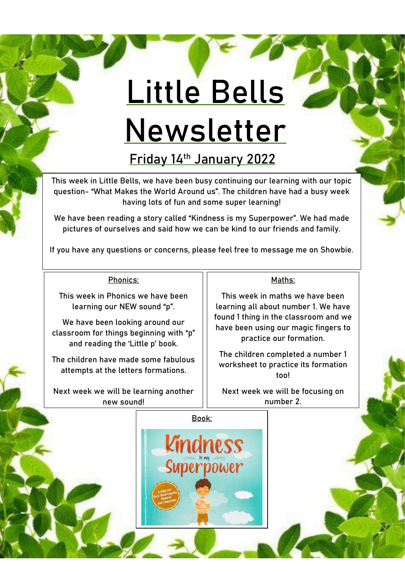## **Little Bells Newsletter**

**Friday 14th January 2022**

This week in Little Bells, we have been busy continuing our learning with our topic question- "**What Makes the World Around us**". The children have had a busy week having lots of fun and some super learning!

We have been reading a story called "**Kindness is my Superpower**". We had made pictures of ourselves and said how we can be kind to our friends and family.

If you have any questions or concerns, please feel free to message me on Showbie.

## Phonics:

This week in Phonics we have been learning our NEW sound "**p**".

We have been looking around our classroom for things beginning with "**p**" and reading the 'Little p' book.

The children have made some fabulous attempts at the letters formations.

Next week we will be learning another new sound!

## Maths:

This week in maths we have been learning all about number 1. We have found 1 thing in the classroom and we have been using our magic fingers to practice our formation.

The children completed a number 1 worksheet to practice its formation too!

Next week we will be focusing on number 2.

**Book:**

**Kindness** 

**Superpower**